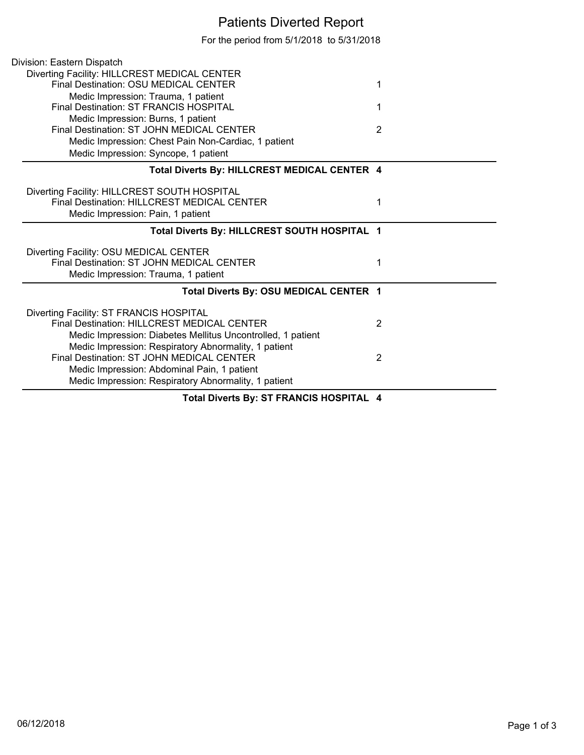## Patients Diverted Report

For the period from 5/1/2018 to 5/31/2018

| Division: Eastern Dispatch                                  |                |
|-------------------------------------------------------------|----------------|
| Diverting Facility: HILLCREST MEDICAL CENTER                |                |
| Final Destination: OSU MEDICAL CENTER                       | 1              |
| Medic Impression: Trauma, 1 patient                         |                |
| <b>Final Destination: ST FRANCIS HOSPITAL</b>               | 1              |
| Medic Impression: Burns, 1 patient                          |                |
| Final Destination: ST JOHN MEDICAL CENTER                   | $\overline{2}$ |
| Medic Impression: Chest Pain Non-Cardiac, 1 patient         |                |
| Medic Impression: Syncope, 1 patient                        |                |
| Total Diverts By: HILLCREST MEDICAL CENTER 4                |                |
| Diverting Facility: HILLCREST SOUTH HOSPITAL                |                |
| Final Destination: HILLCREST MEDICAL CENTER                 | 1              |
| Medic Impression: Pain, 1 patient                           |                |
| Total Diverts By: HILLCREST SOUTH HOSPITAL 1                |                |
| Diverting Facility: OSU MEDICAL CENTER                      |                |
| Final Destination: ST JOHN MEDICAL CENTER                   | 1              |
| Medic Impression: Trauma, 1 patient                         |                |
| Total Diverts By: OSU MEDICAL CENTER 1                      |                |
| Diverting Facility: ST FRANCIS HOSPITAL                     |                |
| <b>Final Destination: HILLCREST MEDICAL CENTER</b>          | $\overline{2}$ |
| Medic Impression: Diabetes Mellitus Uncontrolled, 1 patient |                |
| Medic Impression: Respiratory Abnormality, 1 patient        |                |
| Final Destination: ST JOHN MEDICAL CENTER                   | 2              |
| Medic Impression: Abdominal Pain, 1 patient                 |                |
| Medic Impression: Respiratory Abnormality, 1 patient        |                |
| Total Diverts By: ST FRANCIS HOSPITAL 4                     |                |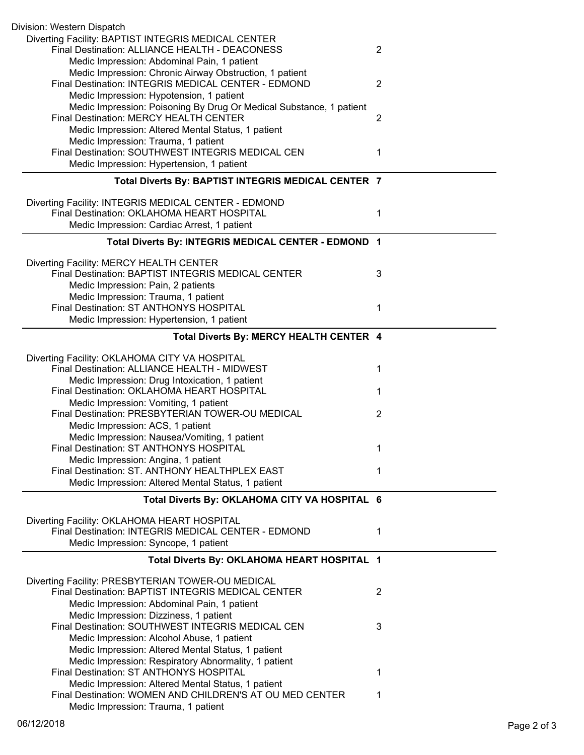| Division: Western Dispatch                                                                                     |                |
|----------------------------------------------------------------------------------------------------------------|----------------|
| Diverting Facility: BAPTIST INTEGRIS MEDICAL CENTER<br>Final Destination: ALLIANCE HEALTH - DEACONESS          | $\overline{2}$ |
| Medic Impression: Abdominal Pain, 1 patient                                                                    |                |
| Medic Impression: Chronic Airway Obstruction, 1 patient<br>Final Destination: INTEGRIS MEDICAL CENTER - EDMOND | $\overline{2}$ |
| Medic Impression: Hypotension, 1 patient                                                                       |                |
| Medic Impression: Poisoning By Drug Or Medical Substance, 1 patient                                            |                |
| Final Destination: MERCY HEALTH CENTER                                                                         | $\overline{2}$ |
| Medic Impression: Altered Mental Status, 1 patient                                                             |                |
| Medic Impression: Trauma, 1 patient<br>Final Destination: SOUTHWEST INTEGRIS MEDICAL CEN                       | 1              |
| Medic Impression: Hypertension, 1 patient                                                                      |                |
| Total Diverts By: BAPTIST INTEGRIS MEDICAL CENTER 7                                                            |                |
|                                                                                                                |                |
| Diverting Facility: INTEGRIS MEDICAL CENTER - EDMOND<br>Final Destination: OKLAHOMA HEART HOSPITAL             | 1              |
| Medic Impression: Cardiac Arrest, 1 patient                                                                    |                |
| Total Diverts By: INTEGRIS MEDICAL CENTER - EDMOND 1                                                           |                |
|                                                                                                                |                |
| Diverting Facility: MERCY HEALTH CENTER                                                                        |                |
| Final Destination: BAPTIST INTEGRIS MEDICAL CENTER                                                             | 3              |
| Medic Impression: Pain, 2 patients                                                                             |                |
| Medic Impression: Trauma, 1 patient<br>Final Destination: ST ANTHONYS HOSPITAL                                 | 1              |
| Medic Impression: Hypertension, 1 patient                                                                      |                |
| Total Diverts By: MERCY HEALTH CENTER 4                                                                        |                |
|                                                                                                                |                |
| Diverting Facility: OKLAHOMA CITY VA HOSPITAL<br>Final Destination: ALLIANCE HEALTH - MIDWEST                  | 1              |
| Medic Impression: Drug Intoxication, 1 patient                                                                 |                |
| Final Destination: OKLAHOMA HEART HOSPITAL                                                                     | 1              |
| Medic Impression: Vomiting, 1 patient                                                                          |                |
| Final Destination: PRESBYTERIAN TOWER-OU MEDICAL                                                               | $\overline{2}$ |
| Medic Impression: ACS, 1 patient                                                                               |                |
| Medic Impression: Nausea/Vomiting, 1 patient                                                                   |                |
| Final Destination: ST ANTHONYS HOSPITAL                                                                        | 1              |
| Medic Impression: Angina, 1 patient<br>Final Destination: ST. ANTHONY HEALTHPLEX EAST                          | 1              |
| Medic Impression: Altered Mental Status, 1 patient                                                             |                |
| Total Diverts By: OKLAHOMA CITY VA HOSPITAL 6                                                                  |                |
|                                                                                                                |                |
| Diverting Facility: OKLAHOMA HEART HOSPITAL                                                                    |                |
| Final Destination: INTEGRIS MEDICAL CENTER - EDMOND                                                            | 1              |
| Medic Impression: Syncope, 1 patient                                                                           |                |
| Total Diverts By: OKLAHOMA HEART HOSPITAL 1                                                                    |                |
| Diverting Facility: PRESBYTERIAN TOWER-OU MEDICAL                                                              |                |
| Final Destination: BAPTIST INTEGRIS MEDICAL CENTER                                                             | 2              |
| Medic Impression: Abdominal Pain, 1 patient                                                                    |                |
| Medic Impression: Dizziness, 1 patient                                                                         |                |
| Final Destination: SOUTHWEST INTEGRIS MEDICAL CEN                                                              | 3              |
| Medic Impression: Alcohol Abuse, 1 patient                                                                     |                |
| Medic Impression: Altered Mental Status, 1 patient<br>Medic Impression: Respiratory Abnormality, 1 patient     |                |
| Final Destination: ST ANTHONYS HOSPITAL                                                                        | 1              |
| Medic Impression: Altered Mental Status, 1 patient                                                             |                |
| Final Destination: WOMEN AND CHILDREN'S AT OU MED CENTER                                                       | 1              |
| Medic Impression: Trauma, 1 patient                                                                            |                |